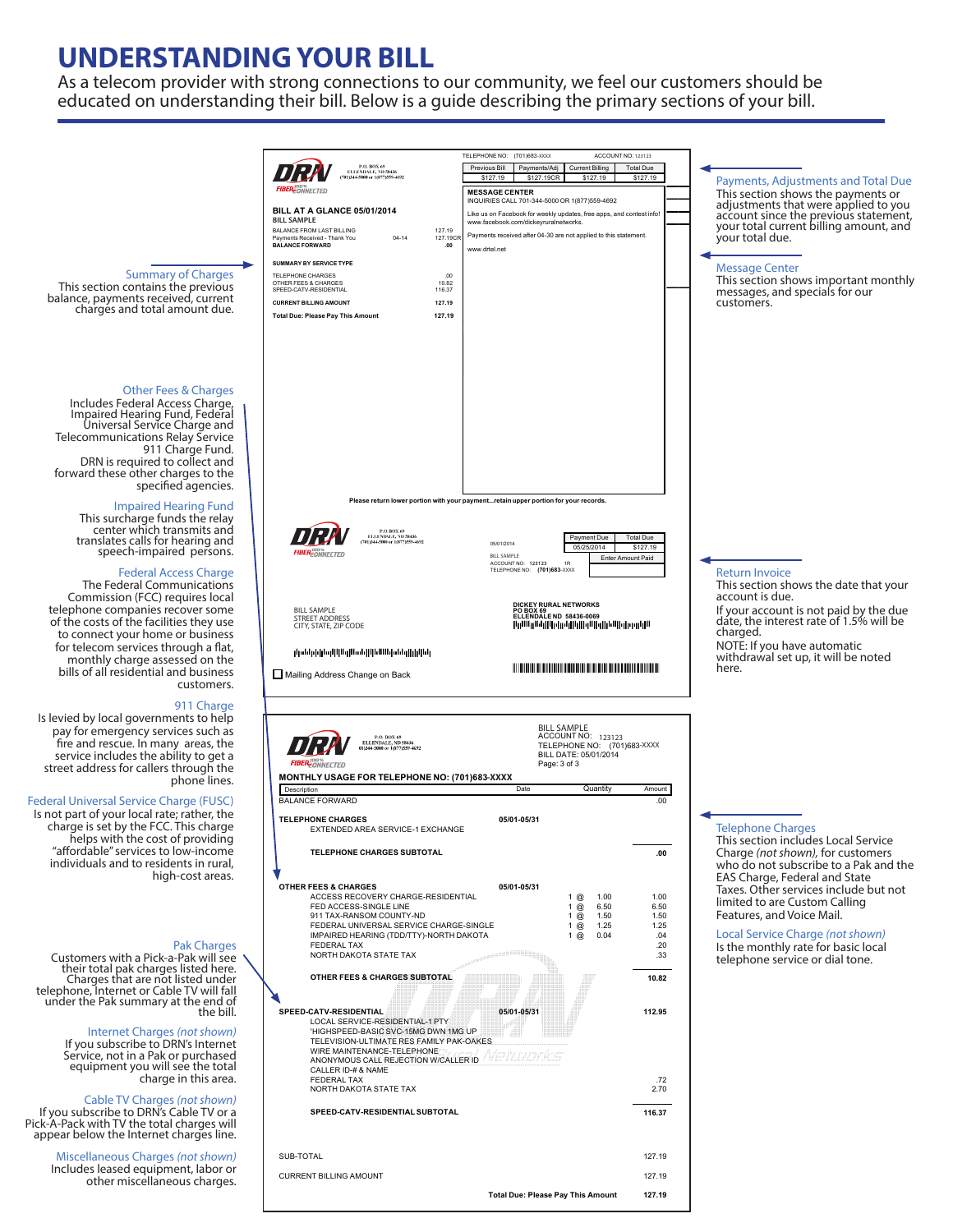## **UNDERSTANDING YOUR BILL**

educated on understanding their bill. Below is a guide describing the primary sections of your bill.<br>educated on understanding their bill. Below is a guide describing the primary sections of your bill.

|                                                                                                                                                                  | TELEPHONE NO:<br>(701) 683-XXXX<br>ACCOUNT NO: 123123<br>Payments/Adj<br>Current Billing<br><b>Total Due</b><br>Previous Bill               |                                                                                                                                                                                                                                          |                              |                                                                                   |
|------------------------------------------------------------------------------------------------------------------------------------------------------------------|---------------------------------------------------------------------------------------------------------------------------------------------|------------------------------------------------------------------------------------------------------------------------------------------------------------------------------------------------------------------------------------------|------------------------------|-----------------------------------------------------------------------------------|
|                                                                                                                                                                  | P.O. BOX 69<br>ELLENDALE, ND 58436<br>(701)344-5000 or 1(877)559-4692<br><b>FIBER</b> EONNECTED                                             | \$127.19<br>\$127.19<br>\$127.19CR<br>\$127.19<br><b>MESSAGE CENTER</b><br>INQUIRIES CALL 701-344-5000 OR 1(877)559-4692<br>Like us on Facebook for weekly updates, free apps, and contest info<br>www.facebook.com/dickeyruralnetworks. |                              | Payments, Adjustments and Total Due                                               |
| BILL AT A GLANCE 05/01/2014<br><b>BILL SAMPLE</b>                                                                                                                |                                                                                                                                             |                                                                                                                                                                                                                                          |                              | This section shows the payments or<br>adjustments that were applied to you        |
|                                                                                                                                                                  |                                                                                                                                             |                                                                                                                                                                                                                                          |                              | account since the previous statement,<br>your total current billing amount, and   |
|                                                                                                                                                                  | BALANCE FROM LAST BILLING<br>127.19<br>$04 - 14$<br>127.19CR<br>Payments Received - Thank You<br><b>BALANCE FORWARD</b><br>.00              | Payments received after 04-30 are not applied to this statement.                                                                                                                                                                         |                              | your total due.                                                                   |
|                                                                                                                                                                  | SUMMARY BY SERVICE TYPE                                                                                                                     | www.drtel.net                                                                                                                                                                                                                            |                              |                                                                                   |
| <b>Summary of Charges</b>                                                                                                                                        | <b>TELEPHONE CHARGES</b><br>.00.<br>OTHER FEES & CHARGES<br>10.82                                                                           |                                                                                                                                                                                                                                          |                              | <b>Message Center</b><br>This section shows important monthly                     |
| This section contains the previous<br>balance, payments received, current                                                                                        | SPEED-CATV-RESIDENTIAL<br>116.37<br><b>CURRENT BILLING AMOUNT</b><br>127.19                                                                 |                                                                                                                                                                                                                                          |                              | messages, and specials for our<br>customers.                                      |
| charges and total amount due.                                                                                                                                    | <b>Total Due: Please Pay This Amount</b><br>127.19                                                                                          |                                                                                                                                                                                                                                          |                              |                                                                                   |
|                                                                                                                                                                  |                                                                                                                                             |                                                                                                                                                                                                                                          |                              |                                                                                   |
| <b>Other Fees &amp; Charges</b><br>Includes Federal Access Charge,                                                                                               |                                                                                                                                             |                                                                                                                                                                                                                                          |                              |                                                                                   |
| Impaired Hearing Fund, Federal<br>Universal Service Charge and                                                                                                   |                                                                                                                                             |                                                                                                                                                                                                                                          |                              |                                                                                   |
| Telecommunications Relay Service<br>911 Charge Fund.                                                                                                             |                                                                                                                                             |                                                                                                                                                                                                                                          |                              |                                                                                   |
| DRN is required to collect and<br>forward these other charges to the<br>specified agencies.                                                                      |                                                                                                                                             |                                                                                                                                                                                                                                          |                              |                                                                                   |
| <b>Impaired Hearing Fund</b>                                                                                                                                     | Please return lower portion with your paymentretain upper portion for your records.                                                         |                                                                                                                                                                                                                                          |                              |                                                                                   |
| This surcharge funds the relay<br>center which transmits and                                                                                                     |                                                                                                                                             |                                                                                                                                                                                                                                          |                              |                                                                                   |
| translates calls for hearing and                                                                                                                                 | P.O. BOX 69<br>ELLENDALE, ND 58436<br>(701)344-5000 or 1(877)559-4692                                                                       | Payment Due<br>05/01/2014<br>05/25/2014                                                                                                                                                                                                  | <b>Total Due</b><br>\$127 19 |                                                                                   |
| speech-impaired persons.                                                                                                                                         | <b>FIBER</b> ONNECTED                                                                                                                       | <b>RILL SAMPLE</b><br>Enter Amount Paid<br>ACCOUNT NO: 123123<br>1R<br>TELEPHONE NO: (701)683-XXXX                                                                                                                                       |                              |                                                                                   |
| <b>Federal Access Charge</b><br>The Federal Communications                                                                                                       |                                                                                                                                             |                                                                                                                                                                                                                                          |                              | <b>Return Invoice</b><br>This section shows the date that your                    |
| Commission (FCC) requires local<br>telephone companies recover some                                                                                              |                                                                                                                                             |                                                                                                                                                                                                                                          |                              | account is due.                                                                   |
| of the costs of the facilities they use                                                                                                                          | <b>BILL SAMPLE</b><br>STREET ADDRESS<br>CITY, STATE, ZIP CODE                                                                               | <b>DICKEY RURAL NETWORKS<br/>PO BOX 69<br/>ELLENDALE ND 58436-0069</b><br>تنزرا ورمزوزا تنفرا والتوازا بالرامورا إزامتني سوالا                                                                                                           |                              | If your account is not paid by the due<br>date, the interest rate of 1.5% will be |
| to connect your home or business<br>for telecom services through a flat,                                                                                         |                                                                                                                                             |                                                                                                                                                                                                                                          |                              | charged.<br>NOTE: If you have automatic                                           |
| monthly charge assessed on the                                                                                                                                   | լեվելիկերի կարող է կարող է կարող են նաև կարող է կարող է կարող է կարող է կարող է կարող է կարող է կարող է կարող                               |                                                                                                                                                                                                                                          |                              | withdrawal set up, it will be noted<br>here.                                      |
| bills of all residential and business<br>customers.                                                                                                              | Mailing Address Change on Back                                                                                                              |                                                                                                                                                                                                                                          |                              |                                                                                   |
| 911 Charge                                                                                                                                                       |                                                                                                                                             |                                                                                                                                                                                                                                          |                              |                                                                                   |
| Is levied by local governments to help<br>pay for emergency services such as                                                                                     |                                                                                                                                             | <b>BILL SAMPLE</b>                                                                                                                                                                                                                       |                              |                                                                                   |
| fire and rescue. In many areas, the                                                                                                                              | P.O. BOX 69<br>ELLENDALE, ND 58436<br>11)344-5000 or 1(877)559-4692                                                                         | ACCOUNT NO: 123123<br>TELEPHONE NO: (701)683-XXXX                                                                                                                                                                                        |                              |                                                                                   |
| service includes the ability to get a<br>street address for callers through the                                                                                  | <b>FIBER</b> ONNECTED                                                                                                                       | BILL DATE: 05/01/2014<br>Page: 3 of 3                                                                                                                                                                                                    |                              |                                                                                   |
| phone lines.                                                                                                                                                     | MONTHLY USAGE FOR TELEPHONE NO: (701)683-XXXX<br>Description                                                                                | Date<br>Quantity                                                                                                                                                                                                                         | Amount                       |                                                                                   |
| <b>Federal Universal Service Charge (FUSC)</b>                                                                                                                   | <b>BALANCE FORWARD</b>                                                                                                                      |                                                                                                                                                                                                                                          | .00.                         |                                                                                   |
| Is not part of your local rate; rather, the<br>charge is set by the FCC. This charge                                                                             | <b>TELEPHONE CHARGES</b><br>EXTENDED AREA SERVICE-1 EXCHANGE                                                                                | 05/01-05/31                                                                                                                                                                                                                              |                              | <b>Telephone Charges</b>                                                          |
| helps with the cost of providing                                                                                                                                 |                                                                                                                                             |                                                                                                                                                                                                                                          |                              | This section includes Local Service                                               |
| "affordable" services to low-income<br>individuals and to residents in rural,                                                                                    | TELEPHONE CHARGES SUBTOTAL                                                                                                                  |                                                                                                                                                                                                                                          | .00.                         | Charge (not shown), for customers<br>who do not subscribe to a Pak and the        |
| high-cost areas.                                                                                                                                                 | <b>OTHER FEES &amp; CHARGES</b>                                                                                                             | 05/01-05/31                                                                                                                                                                                                                              |                              | EAS Charge, Federal and State                                                     |
|                                                                                                                                                                  | ACCESS RECOVERY CHARGE-RESIDENTIAL<br>FED ACCESS-SINGLE LINE                                                                                | $1 \circledcirc$<br>1.00<br>6.50<br>$1 \circledcirc$                                                                                                                                                                                     | 1.00<br>6.50                 | Taxes. Other services include but not<br>limited to are Custom Calling            |
|                                                                                                                                                                  | 911 TAX-RANSOM COUNTY-ND<br>1.50<br>$1 \circledcirc$<br>1.50<br>FEDERAL UNIVERSAL SERVICE CHARGE-SINGLE<br>1.25<br>1.25<br>$1 \circledcirc$ |                                                                                                                                                                                                                                          |                              | Features, and Voice Mail.                                                         |
| <b>Pak Charges</b>                                                                                                                                               | IMPAIRED HEARING (TDD/TTY)-NORTH DAKOTA<br>FEDERAL TAX                                                                                      | 0.04<br>$1 \circledcirc$                                                                                                                                                                                                                 | .04<br>.20                   | Local Service Charge (not shown)                                                  |
| Customers with a Pick-a-Pak will see                                                                                                                             | NORTH DAKOTA STATE TAX                                                                                                                      |                                                                                                                                                                                                                                          | .33                          | Is the monthly rate for basic local<br>telephone service or dial tone.            |
| their total pak charges listed here.<br>Charges that are not listed under<br>telephone, Internet or Cable TV will fall                                           | OTHER FEES & CHARGES SUBTOTAL                                                                                                               |                                                                                                                                                                                                                                          | 10.82                        |                                                                                   |
| under the Pak summary at the end of                                                                                                                              |                                                                                                                                             |                                                                                                                                                                                                                                          |                              |                                                                                   |
| the bill.                                                                                                                                                        | SPEED-CATV-RESIDENTIAL<br>LOCAL SERVICE-RESIDENTIAL-1 PTY                                                                                   | 05/01-05/31                                                                                                                                                                                                                              | 112.95                       |                                                                                   |
| Internet Charges (not shown)                                                                                                                                     | 'HIGHSPEED-BASIC SVC-15MG DWN 1MG UP<br>TELEVISION-ULTIMATE RES FAMILY PAK-OAKES                                                            |                                                                                                                                                                                                                                          |                              |                                                                                   |
| If you subscribe to DRN's Internet                                                                                                                               | WIRE MAINTENANCE-TELEPHONE                                                                                                                  | uta <i>r Lu</i> guje o                                                                                                                                                                                                                   |                              |                                                                                   |
|                                                                                                                                                                  | ANONYMOUS CALL REJECTION W/CALLER ID<br>CALLER ID-# & NAME                                                                                  |                                                                                                                                                                                                                                          | .72                          |                                                                                   |
| Service, not in a Pak or purchased<br>equipment you will see the total                                                                                           |                                                                                                                                             |                                                                                                                                                                                                                                          | 2.70                         |                                                                                   |
| charge in this area.                                                                                                                                             | FEDERAL TAX<br>NORTH DAKOTA STATE TAX                                                                                                       |                                                                                                                                                                                                                                          |                              |                                                                                   |
| Cable TV Charges (not shown)<br>If you subscribe to DRN's Cable TV or a<br>Pick-A-Pack with TV the total charges will<br>appear below the Internet charges line. | SPEED-CATV-RESIDENTIAL SUBTOTAL                                                                                                             |                                                                                                                                                                                                                                          | 116.37                       |                                                                                   |
|                                                                                                                                                                  | SUB-TOTAL                                                                                                                                   |                                                                                                                                                                                                                                          | 127.19                       |                                                                                   |
| Miscellaneous Charges (not shown)<br>Includes leased equipment, labor or<br>other miscellaneous charges.                                                         | <b>CURRENT BILLING AMOUNT</b>                                                                                                               |                                                                                                                                                                                                                                          | 127.19                       |                                                                                   |